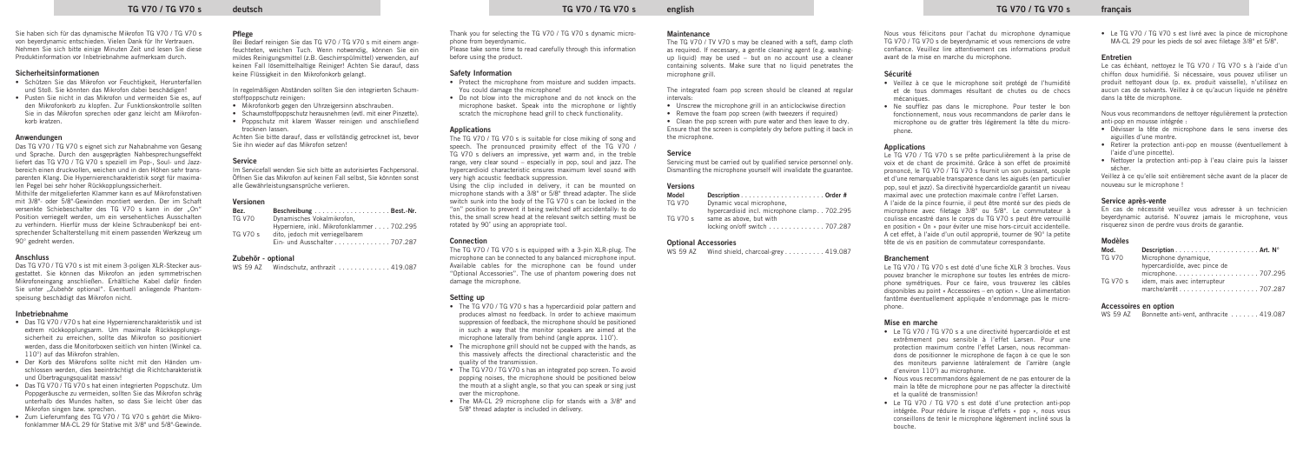Sie haben sich für das dynamische Mikrofon TG V70 / TG V70 s von beyerdynamic entschieden. Vielen Dank für Ihr Vertrauen. Nehmen Sie sich bitte einige Minuten Zeit und lesen Sie diese Produktinformation vor Inbetriebnahme aufmerksam durch.

### **Sicherheitsinformationen**

- Schützen Sie das Mikrofon vor Feuchtigkeit, Herunterfallen und Stoß. Sie könnten das Mikrofon dabei beschädigen!
- Pusten Sie nicht in das Mikrofon und vermeiden Sie es, auf den Mikrofonkorb zu klopfen. Zur Funktionskontrolle sollten Sie in das Mikrofon sprechen oder ganz leicht am Mikrofonkorb kratzen.

### **Anwendungen**

Das TG V70 / TG V70 s eignet sich zur Nahabnahme von Gesang und Sprache. Durch den ausgeprägten Nahbesprechungseffekt liefert das TG V70 / TG V70 s speziell im Pop-, Soul- und Jazzbereich einen druckvollen, weichen und in den Höhen sehr transparenten Klang. Die Hypernierencharakteristik sorgt für maximalen Pegel bei sehr hoher Rückkopplungssicherheit.

Mithilfe der mitgelieferten Klammer kann es auf Mikrofonstativen mit 3/8"- oder 5/8"-Gewinden montiert werden. Der im Schaft versenkte Schiebeschalter des TG V70 s kann in der On" Position verriegelt werden, um ein versehentliches Ausschalten zu verhindern. Hierfür muss der kleine Schraubenkopf bei entsprechender Schalterstellung mit einem passenden Werkzeug um 90° gedreht werden.

In regelmäßigen Abständen sollten Sie den integrierten Schaumstoffpoppschutz reinigen:

### **Anschluss**

Das TG V70 / TG V70 s ist mit einem 3-poligen XLR-Stecker ausgestattet. Sie können das Mikrofon an jeden symmetrischen Mikrofoneingang anschließen. Erhältliche Kabel dafür finden Sie unter "Zubehör optional". Eventuell anliegende Phantomspeisung beschädigt das Mikrofon nicht.

### **Inbetriebnahme**

- Das TG V70 / V70 s hat eine Hypernierencharakteristik und ist extrem rückkopplungsarm. Um maximale Rückkopplungssicherheit zu erreichen, sollte das Mikrofon so positioniert werden, dass die Monitorboxen seitlich von hinten (Winkel ca. 110°) auf das Mikrofon strahlen.
- Der Korb des Mikrofons sollte nicht mit den Händen umschlossen werden, dies beeinträchtigt die Richtcharakteristik und Übertragungsqualität massiv!
- Das TG V70 / TG V70 s hat einen integrierten Poppschutz. Um Poppgeräusche zu vermeiden, sollten Sie das Mikrofon schräg unterhalb des Mundes halten, so dass Sie leicht über das Mikrofon singen bzw. sprechen.
- Zum Lieferumfang des TG V70 / TG V70 s gehört die Mikrofonklammer MA-CL 29 für Stative mit 3/8" und 5/8"-Gewinde.

### **Pflege**

Bei Bedarf reinigen Sie das TG V70 / TG V70 s mit einem angefeuchteten, weichen Tuch. Wenn notwendig, können Sie ein mildes Reinigungsmittel (z.B. Geschirrspülmittel) verwenden, auf keinen Fall lösemittelhaltige Reiniger! Achten Sie darauf, dass keine Flüssigkeit in den Mikrofonkorb gelangt.

- Mikrofonkorb gegen den Uhrzeigersinn abschrauben.
- Schaumstoffpoppschutz herausnehmen (evtl. mit einer Pinzette).
- Poppschutz mit klarem Wasser reinigen und anschließend trocknen lassen.

- The TG V70 / TG V70 s has a hypercardioid polar pattern and produces almost no feedback. In order to achieve maximum suppression of feedback, the microphone should be positioned in such a way that the monitor speakers are aimed at the microphone laterally from behind (angle approx. 110˚).
- The microphone grill should not be cupped with the hands, as this massively affects the directional characteristic and the quality of the transmission.
- The TG V70 / TG V70 s has an integrated pop screen. To avoid popping noises, the microphone should be positioned below the mouth at a slight angle, so that you can speak or sing just over the microphone.
- The MA-CL 29 microphone clip for stands with a 3/8" and 5/8" thread adapter is included in delivery.

Achten Sie bitte darauf, dass er vollständig getrocknet ist, bevor Sie ihn wieder auf das Mikrofon setzen!

- Unscrew the microphone grill in an anticlockwise direction
- Remove the foam pop screen (with tweezers if required)

### **Service**

Im Servicefall wenden Sie sich bitte an autorisiertes Fachpersonal. Öffnen Sie das Mikrofon auf keinen Fall selbst, Sie könnten sonst alle Gewährleistungsansprüche verlieren.

### **Versionen**

| Bez.          |                                           |
|---------------|-------------------------------------------|
| <b>TG V70</b> | Dynamisches Vokalmikrofon.                |
|               | Hyperniere, inkl. Mikrofonklammer 702.295 |
| TG V70 s      | dito, jedoch mit verriegelbarem           |
|               | Ein- und Ausschalter 707.287              |

### **Zubehör - optional**

|  | WS 59 AZ |  |  | Windschutz. anthrazit $\ldots \ldots \ldots$ 419.087 |  |
|--|----------|--|--|------------------------------------------------------|--|
|--|----------|--|--|------------------------------------------------------|--|

Thank you for selecting the TG V70 / TG V70 s dynamic microphone from beyerdynamic.

Please take some time to read carefully through this information before using the product.

### **Safety Information**

- Protect the microphone from moisture and sudden impacts. You could damage the microphone!
- Do not blow into the microphone and do not knock on the microphone basket. Speak into the microphone or lightly scratch the microphone head grill to check functionality.

### **Applications**

The TG V70 / TG V70 s is suitable for close miking of song and speech. The pronounced proximity effect of the TG V70 / TG V70 s delivers an impressive, yet warm and, in the treble range, very clear sound – especially in pop, soul and jazz. The hypercardioid characteristic ensures maximum level sound with very high acoustic feedback suppression.

Using the clip included in delivery, it can be mounted on microphone stands with a 3/8" or 5/8" thread adapter. The slide switch sunk into the body of the TG V70 s can be locked in the "on" position to prevent it being switched off accidentally: to do this, the small screw head at the relevant switch setting must be rotated by 90˚ using an appropriate tool.

### **Connection**

The TG V70 / TG V70 s is equipped with a 3-pin XLR-plug. The microphone can be connected to any balanced microphone input. Available cables for the microphone can be found under "Optional Accessories". The use of phantom powering does not damage the microphone.

### **Setting up**

### **Maintenance**

The TG V70 / TV V70 s may be cleaned with a soft, damp cloth as required. If necessary, a gentle cleaning agent (e.g. washingup liquid) may be used – but on no account use a cleaner containing solvents. Make sure that no liquid penetrates the microphone grill.

The integrated foam pop screen should be cleaned at regular intervals:

• Clean the pop screen with pure water and then leave to dry. Ensure that the screen is completely dry before putting it back in the microphone.

### **Service**

Servicing must be carried out by qualified service personnel only. Dismantling the microphone yourself will invalidate the guarantee.

### **Versions**

| Model         |                                                 |
|---------------|-------------------------------------------------|
| <b>TG V70</b> | Dynamic vocal microphone.                       |
|               | hypercardioid incl. microphone clamp. . 702.295 |
| TG V70 s      | same as above, but with                         |
|               | locking on/off switch 707.287                   |

### **Optional Accessories**

WS 59 AZ Wind shield, charcoal-grey . . . . . . . . . 419.087

### Nous vous félicitons pour l'achat du microphone dynamique TG V70 / TG V70 s de beyerdynamic et vous remercions de votre confiance. Veuillez lire attentivement ces informations produit avant de la mise en marche du microphone.

### **Sécurité**

- Veillez à ce que le microphone soit protégé de l'humidité et de tous dommages résultant de chutes ou de chocs mécaniques.
- Ne soufflez pas dans le microphone. Pour tester le bon fonctionnement, nous vous recommandons de parler dans le microphone ou de gratter très légèrement la tête du microphone.

### **Applications**

Le TG V70 / TG V70 s se prête particulièrement à la prise de voix et de chant de proximité. Grâce à son effet de proximité prononcé, le TG V70 / TG V70 s fournit un son puissant, souple et d'une remarquable transparence dans les aiguës (en particulier pop, soul et jazz). Sa directivité hypercardioïde garantit un niveau maximal avec une protection maximale contre l'effet Larsen. A l'aide de la pince fournie, il peut être monté sur des pieds de microphone avec filetage 3/8" ou 5/8". Le commutateur à coulisse encastré dans le corps du TG V70 s peut être verrouillé en position « On » pour éviter une mise hors-circuit accidentelle. A cet effet, à l'aide d'un outil approprié, tourner de 90° la petite tête de vis en position de commutateur correspondante.

### **Branchement**

Le TG V70 / TG V70 s est doté d'une fiche XLR 3 broches. Vous pouvez brancher le microphone sur toutes les entrées de microphone symétriques. Pour ce faire, vous trouverez les câbles disponibles au point « Accessoires – en option ». Une alimentation fantôme éventuellement appliquée n'endommage pas le microphone.

### **Mise en marche**

- Le TG V70 / TG V70 s a une directivité hypercardioïde et est extrêmement peu sensible à l'effet Larsen. Pour une protection maximum contre l'effet Larsen, nous recommandons de positionner le microphone de façon à ce que le son des moniteurs parvienne latéralement de l'arrière (angle d'environ 110°) au microphone.
- Nous vous recommandons également de ne pas entourer de la main la tête de microphone pour ne pas affecter la directivité et la qualité de transmission!
- Le TG V70 / TG V70 s est doté d'une protection anti-pop intégrée. Pour réduire le risque d'effets « pop », nous vous conseillons de tenir le microphone légèrement incliné sous la bouche.

### TG V70 / TG V70 / TG V70 / TG V70 / TG V70 / TG V70 / TG V70 or english with the control of the control of the control of the control of the control of the control of the control of the control of the control of the contro

• Le TG V70 / TG V70 s est livré avec la pince de microphone MA-CL 29 pour les pieds de sol avec filetage 3/8" et 5/8".

### **Entretien**

Le cas échéant, nettoyez le TG V70 / TG V70 s à l'aide d'un chiffon doux humidifié. Si nécessaire, vous pouvez utiliser un produit nettoyant doux (p. ex. produit vaisselle), n'utilisez en aucun cas de solvants. Veillez à ce qu'aucun liquide ne pénètre dans la tête de microphone.

Nous vous recommandons de nettoyer régulièrement la protection anti-pop en mousse intégrée :

- Dévisser la tête de microphone dans le sens inverse des aiguilles d'une montre.
- Retirer la protection anti-pop en mousse (éventuellement à l'aide d'une pincette).
- Nettoyer la protection anti-pop à l'eau claire puis la laisser sécher.

Veillez à ce qu'elle soit entièrement sèche avant de la placer de nouveau sur le microphone !

### **Service après-vente**

En cas de nécessité veuillez vous adresser à un technicien beyerdynamic autorisé. N'ouvrez jamais le microphone, vous risquerez sinon de perdre vous droits de garantie.

### **Modèles**

| Mod.          |                                                               |
|---------------|---------------------------------------------------------------|
| <b>TG V70</b> | Microphone dynamique.                                         |
| TG V70 s      | hypercardioïde, avec pince de<br>idem, mais avec interrupteur |

### **Accessoires en option**

| WS 59 AZ |  | Bonnette anti-vent. anthracite 419.087 |  |
|----------|--|----------------------------------------|--|